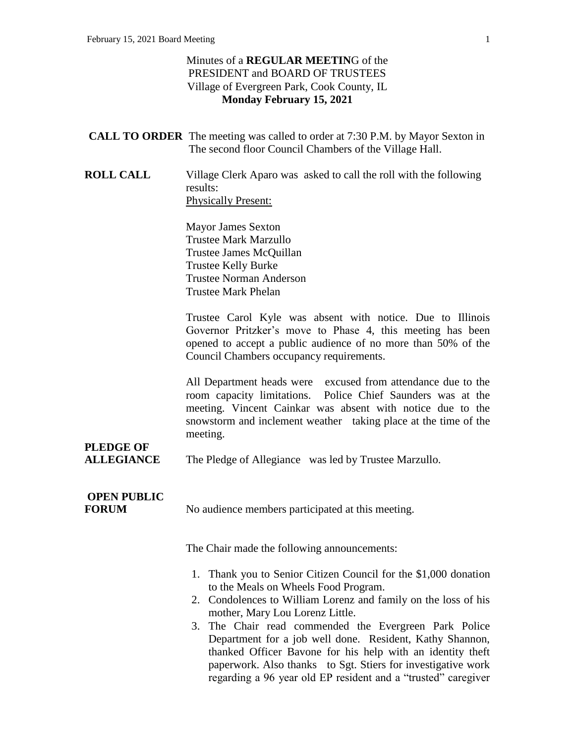### Minutes of a **REGULAR MEETIN**G of the PRESIDENT and BOARD OF TRUSTEES Village of Evergreen Park, Cook County, IL **Monday February 15, 2021**

**CALL TO ORDER** The meeting was called to order at 7:30 P.M. by Mayor Sexton in The second floor Council Chambers of the Village Hall. **ROLL CALL** Village Clerk Aparo was asked to call the roll with the following results: Physically Present: Mayor James Sexton Trustee Mark Marzullo Trustee James McQuillan Trustee Kelly Burke Trustee Norman Anderson Trustee Mark Phelan Trustee Carol Kyle was absent with notice. Due to Illinois Governor Pritzker's move to Phase 4, this meeting has been opened to accept a public audience of no more than 50% of the Council Chambers occupancy requirements. All Department heads were excused from attendance due to the room capacity limitations. Police Chief Saunders was at the meeting. Vincent Cainkar was absent with notice due to the snowstorm and inclement weather taking place at the time of the meeting. **PLEDGE OF ALLEGIANCE** The Pledge of Allegiance was led by Trustee Marzullo. **OPEN PUBLIC FORUM** No audience members participated at this meeting. The Chair made the following announcements: 1. Thank you to Senior Citizen Council for the \$1,000 donation to the Meals on Wheels Food Program. 2. Condolences to William Lorenz and family on the loss of his mother, Mary Lou Lorenz Little. 3. The Chair read commended the Evergreen Park Police Department for a job well done. Resident, Kathy Shannon, thanked Officer Bavone for his help with an identity theft

> paperwork. Also thanks to Sgt. Stiers for investigative work regarding a 96 year old EP resident and a "trusted" caregiver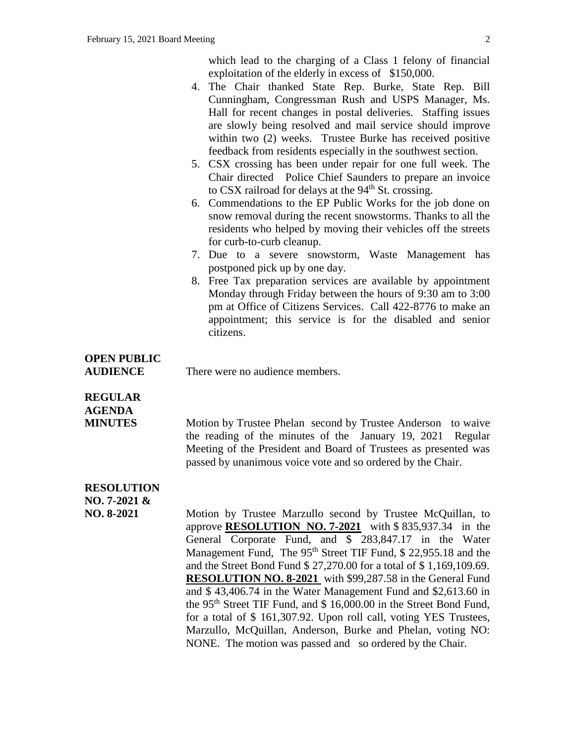which lead to the charging of a Class 1 felony of financial exploitation of the elderly in excess of \$150,000.

- 4. The Chair thanked State Rep. Burke, State Rep. Bill Cunningham, Congressman Rush and USPS Manager, Ms. Hall for recent changes in postal deliveries. Staffing issues are slowly being resolved and mail service should improve within two (2) weeks. Trustee Burke has received positive feedback from residents especially in the southwest section.
- 5. CSX crossing has been under repair for one full week. The Chair directed Police Chief Saunders to prepare an invoice to CSX railroad for delays at the  $94<sup>th</sup>$  St. crossing.
- 6. Commendations to the EP Public Works for the job done on snow removal during the recent snowstorms. Thanks to all the residents who helped by moving their vehicles off the streets for curb-to-curb cleanup.
- 7. Due to a severe snowstorm, Waste Management has postponed pick up by one day.
- 8. Free Tax preparation services are available by appointment Monday through Friday between the hours of 9:30 am to 3:00 pm at Office of Citizens Services. Call 422-8776 to make an appointment; this service is for the disabled and senior citizens.

# **OPEN PUBLIC**

**AUDIENCE** There were no audience members.

#### **REGULAR AGENDA**

**MINUTES** Motion by Trustee Phelan second by Trustee Anderson to waive the reading of the minutes of the January 19, 2021 Regular Meeting of the President and Board of Trustees as presented was passed by unanimous voice vote and so ordered by the Chair.

### **RESOLUTION**

**NO. 7-2021 &**

**NO. 8-2021** Motion by Trustee Marzullo second by Trustee McQuillan, to approve **RESOLUTION NO. 7-2021** with \$ 835,937.34 in the General Corporate Fund, and \$ 283,847.17 in the Water Management Fund, The 95<sup>th</sup> Street TIF Fund, \$22,955.18 and the and the Street Bond Fund \$ 27,270.00 for a total of \$ 1,169,109.69. **RESOLUTION NO. 8-2021** with \$99,287.58 in the General Fund and \$ 43,406.74 in the Water Management Fund and \$2,613.60 in the 95<sup>th</sup> Street TIF Fund, and \$ 16,000.00 in the Street Bond Fund, for a total of \$ 161,307.92. Upon roll call, voting YES Trustees, Marzullo, McQuillan, Anderson, Burke and Phelan, voting NO: NONE. The motion was passed and so ordered by the Chair.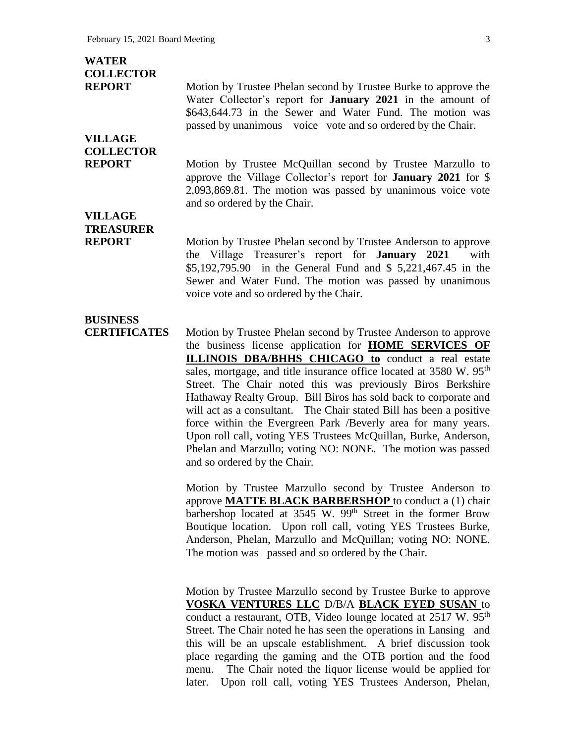# **WATER COLLECTOR**

**REPORT** Motion by Trustee Phelan second by Trustee Burke to approve the Water Collector's report for **January 2021** in the amount of \$643,644.73 in the Sewer and Water Fund. The motion was passed by unanimous voice vote and so ordered by the Chair.

# **VILLAGE COLLECTOR**

**REPORT** Motion by Trustee McQuillan second by Trustee Marzullo to approve the Village Collector's report for **January 2021** for \$ 2,093,869.81. The motion was passed by unanimous voice vote and so ordered by the Chair.

## **VILLAGE TREASURER**

**REPORT** Motion by Trustee Phelan second by Trustee Anderson to approve the Village Treasurer's report for **January 2021** with \$5,192,795.90 in the General Fund and \$ 5,221,467.45 in the Sewer and Water Fund. The motion was passed by unanimous voice vote and so ordered by the Chair.

# **BUSINESS**

**CERTIFICATES** Motion by Trustee Phelan second by Trustee Anderson to approve the business license application for **HOME SERVICES OF ILLINOIS DBA/BHHS CHICAGO to** conduct a real estate sales, mortgage, and title insurance office located at 3580 W. 95<sup>th</sup> Street. The Chair noted this was previously Biros Berkshire Hathaway Realty Group. Bill Biros has sold back to corporate and will act as a consultant. The Chair stated Bill has been a positive force within the Evergreen Park /Beverly area for many years. Upon roll call, voting YES Trustees McQuillan, Burke, Anderson, Phelan and Marzullo; voting NO: NONE. The motion was passed and so ordered by the Chair.

> Motion by Trustee Marzullo second by Trustee Anderson to approve **MATTE BLACK BARBERSHOP** to conduct a (1) chair barbershop located at 3545 W. 99<sup>th</sup> Street in the former Brow Boutique location. Upon roll call, voting YES Trustees Burke, Anderson, Phelan, Marzullo and McQuillan; voting NO: NONE. The motion was passed and so ordered by the Chair.

> Motion by Trustee Marzullo second by Trustee Burke to approve **VOSKA VENTURES LLC** D/B/A **BLACK EYED SUSAN** to conduct a restaurant, OTB, Video lounge located at 2517 W. 95<sup>th</sup> Street. The Chair noted he has seen the operations in Lansing and this will be an upscale establishment. A brief discussion took place regarding the gaming and the OTB portion and the food menu. The Chair noted the liquor license would be applied for later. Upon roll call, voting YES Trustees Anderson, Phelan,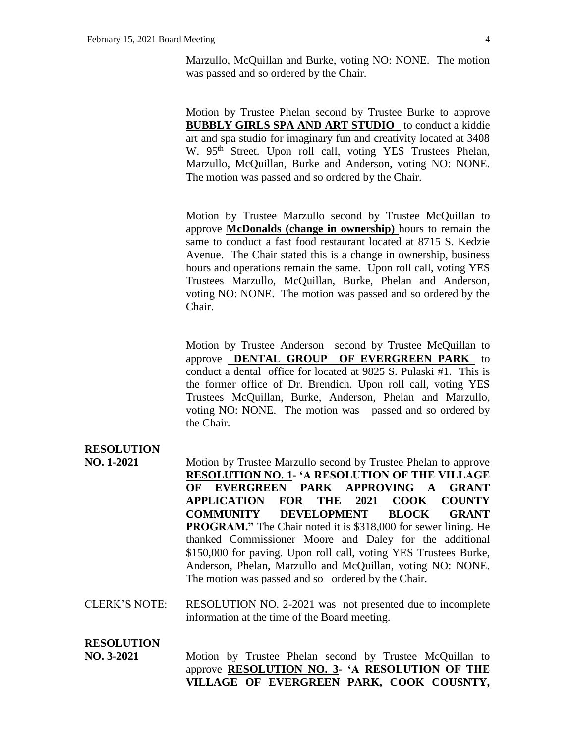Marzullo, McQuillan and Burke, voting NO: NONE. The motion was passed and so ordered by the Chair.

Motion by Trustee Phelan second by Trustee Burke to approve **BUBBLY GIRLS SPA AND ART STUDIO** to conduct a kiddie art and spa studio for imaginary fun and creativity located at 3408 W. 95<sup>th</sup> Street. Upon roll call, voting YES Trustees Phelan, Marzullo, McQuillan, Burke and Anderson, voting NO: NONE. The motion was passed and so ordered by the Chair.

Motion by Trustee Marzullo second by Trustee McQuillan to approve **McDonalds (change in ownership)** hours to remain the same to conduct a fast food restaurant located at 8715 S. Kedzie Avenue. The Chair stated this is a change in ownership, business hours and operations remain the same. Upon roll call, voting YES Trustees Marzullo, McQuillan, Burke, Phelan and Anderson, voting NO: NONE. The motion was passed and so ordered by the Chair.

Motion by Trustee Anderson second by Trustee McQuillan to approve **DENTAL GROUP OF EVERGREEN PARK** to conduct a dental office for located at 9825 S. Pulaski #1. This is the former office of Dr. Brendich. Upon roll call, voting YES Trustees McQuillan, Burke, Anderson, Phelan and Marzullo, voting NO: NONE. The motion was passed and so ordered by the Chair.

### **RESOLUTION**

- **NO. 1-2021** Motion by Trustee Marzullo second by Trustee Phelan to approve **RESOLUTION NO. 1- 'A RESOLUTION OF THE VILLAGE OF EVERGREEN PARK APPROVING A GRANT APPLICATION FOR THE 2021 COOK COUNTY COMMUNITY DEVELOPMENT BLOCK GRANT PROGRAM."** The Chair noted it is \$318,000 for sewer lining. He thanked Commissioner Moore and Daley for the additional \$150,000 for paving. Upon roll call, voting YES Trustees Burke, Anderson, Phelan, Marzullo and McQuillan, voting NO: NONE. The motion was passed and so ordered by the Chair.
- CLERK'S NOTE: RESOLUTION NO. 2-2021 was not presented due to incomplete information at the time of the Board meeting.

### **RESOLUTION**

**NO. 3-2021** Motion by Trustee Phelan second by Trustee McQuillan to approve **RESOLUTION NO. 3- 'A RESOLUTION OF THE VILLAGE OF EVERGREEN PARK, COOK COUSNTY,**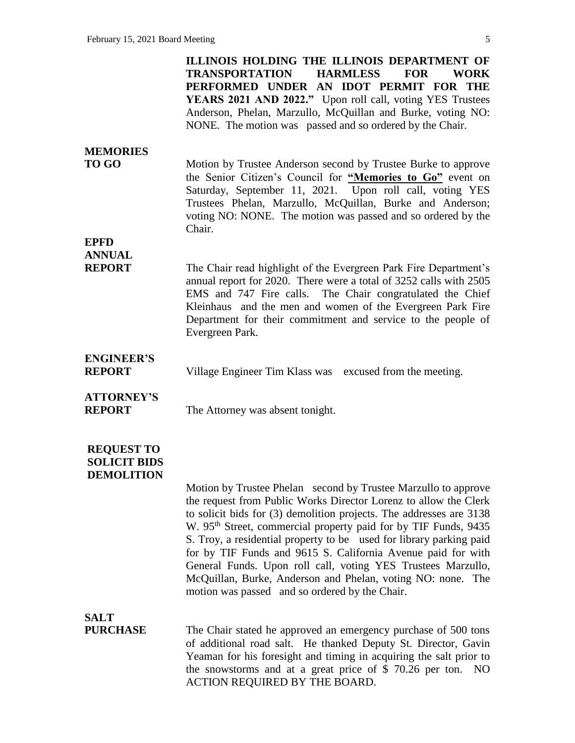|                                                               | ILLINOIS HOLDING THE ILLINOIS DEPARTMENT OF<br><b>TRANSPORTATION HARMLESS</b><br><b>FOR</b><br><b>WORK</b><br>PERFORMED UNDER AN IDOT PERMIT FOR THE<br>YEARS 2021 AND 2022." Upon roll call, voting YES Trustees<br>Anderson, Phelan, Marzullo, McQuillan and Burke, voting NO:<br>NONE. The motion was passed and so ordered by the Chair.                                                                                                                                                                                                                                                                     |
|---------------------------------------------------------------|------------------------------------------------------------------------------------------------------------------------------------------------------------------------------------------------------------------------------------------------------------------------------------------------------------------------------------------------------------------------------------------------------------------------------------------------------------------------------------------------------------------------------------------------------------------------------------------------------------------|
| <b>MEMORIES</b><br><b>TO GO</b>                               | Motion by Trustee Anderson second by Trustee Burke to approve<br>the Senior Citizen's Council for "Memories to Go" event on<br>Saturday, September 11, 2021. Upon roll call, voting YES<br>Trustees Phelan, Marzullo, McQuillan, Burke and Anderson;<br>voting NO: NONE. The motion was passed and so ordered by the<br>Chair.                                                                                                                                                                                                                                                                                   |
| <b>EPFD</b><br><b>ANNUAL</b><br><b>REPORT</b>                 | The Chair read highlight of the Evergreen Park Fire Department's<br>annual report for 2020. There were a total of 3252 calls with 2505<br>EMS and 747 Fire calls. The Chair congratulated the Chief<br>Kleinhaus and the men and women of the Evergreen Park Fire<br>Department for their commitment and service to the people of<br>Evergreen Park.                                                                                                                                                                                                                                                             |
| <b>ENGINEER'S</b><br><b>REPORT</b>                            | Village Engineer Tim Klass was excused from the meeting.                                                                                                                                                                                                                                                                                                                                                                                                                                                                                                                                                         |
| <b>ATTORNEY'S</b><br><b>REPORT</b>                            | The Attorney was absent tonight.                                                                                                                                                                                                                                                                                                                                                                                                                                                                                                                                                                                 |
| <b>REQUEST TO</b><br><b>SOLICIT BIDS</b><br><b>DEMOLITION</b> | Motion by Trustee Phelan second by Trustee Marzullo to approve<br>the request from Public Works Director Lorenz to allow the Clerk<br>to solicit bids for (3) demolition projects. The addresses are 3138<br>W. 95 <sup>th</sup> Street, commercial property paid for by TIF Funds, 9435<br>S. Troy, a residential property to be used for library parking paid<br>for by TIF Funds and 9615 S. California Avenue paid for with<br>General Funds. Upon roll call, voting YES Trustees Marzullo,<br>McQuillan, Burke, Anderson and Phelan, voting NO: none. The<br>motion was passed and so ordered by the Chair. |
| <b>SALT</b><br><b>PURCHASE</b>                                | The Chair stated he approved an emergency purchase of 500 tons<br>of additional road salt. He thanked Deputy St. Director, Gavin<br>Yeaman for his foresight and timing in acquiring the salt prior to<br>the snowstorms and at a great price of \$ 70.26 per ton. NO<br>ACTION REQUIRED BY THE BOARD.                                                                                                                                                                                                                                                                                                           |